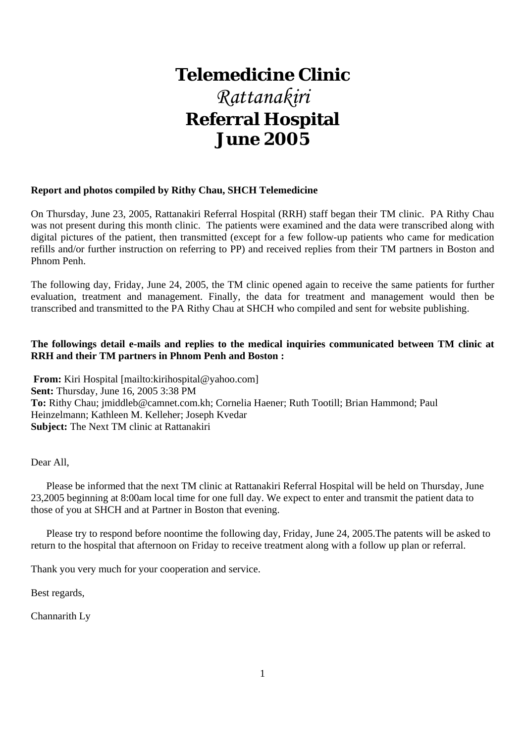# **Telemedicine Clinic** *Rattanakiri*  **Referral Hospital June 2005**

## **Report and photos compiled by Rithy Chau, SHCH Telemedicine**

On Thursday, June 23, 2005, Rattanakiri Referral Hospital (RRH) staff began their TM clinic. PA Rithy Chau was not present during this month clinic. The patients were examined and the data were transcribed along with digital pictures of the patient, then transmitted (except for a few follow-up patients who came for medication refills and/or further instruction on referring to PP) and received replies from their TM partners in Boston and Phnom Penh.

The following day, Friday, June 24, 2005, the TM clinic opened again to receive the same patients for further evaluation, treatment and management. Finally, the data for treatment and management would then be transcribed and transmitted to the PA Rithy Chau at SHCH who compiled and sent for website publishing.

## **The followings detail e-mails and replies to the medical inquiries communicated between TM clinic at RRH and their TM partners in Phnom Penh and Boston :**

**From:** Kiri Hospital [mailto:kirihospital@yahoo.com] **Sent:** Thursday, June 16, 2005 3:38 PM **To:** Rithy Chau; jmiddleb@camnet.com.kh; Cornelia Haener; Ruth Tootill; Brian Hammond; Paul Heinzelmann; Kathleen M. Kelleher; Joseph Kvedar **Subject:** The Next TM clinic at Rattanakiri

Dear All,

 Please be informed that the next TM clinic at Rattanakiri Referral Hospital will be held on Thursday, June 23,2005 beginning at 8:00am local time for one full day. We expect to enter and transmit the patient data to those of you at SHCH and at Partner in Boston that evening.

 Please try to respond before noontime the following day, Friday, June 24, 2005.The patents will be asked to return to the hospital that afternoon on Friday to receive treatment along with a follow up plan or referral.

Thank you very much for your cooperation and service.

Best regards,

Channarith Ly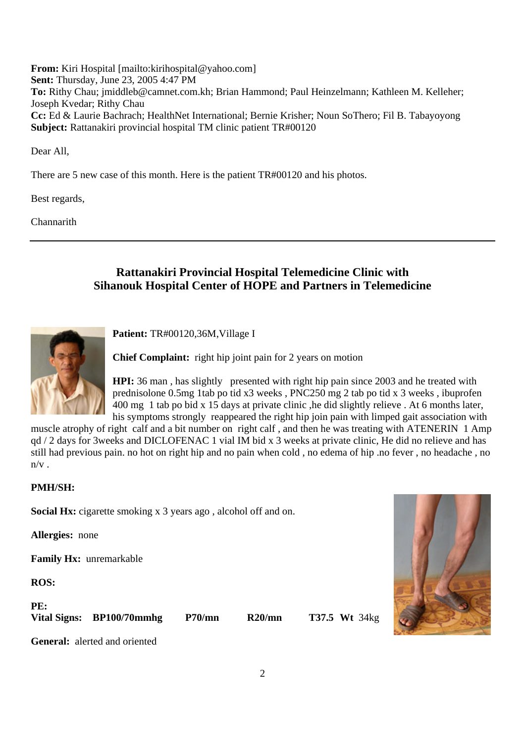**From:** Kiri Hospital [mailto:kirihospital@yahoo.com] **Sent:** Thursday, June 23, 2005 4:47 PM **To:** Rithy Chau; jmiddleb@camnet.com.kh; Brian Hammond; Paul Heinzelmann; Kathleen M. Kelleher; Joseph Kvedar; Rithy Chau **Cc:** Ed & Laurie Bachrach; HealthNet International; Bernie Krisher; Noun SoThero; Fil B. Tabayoyong **Subject:** Rattanakiri provincial hospital TM clinic patient TR#00120

Dear All,

There are 5 new case of this month. Here is the patient TR#00120 and his photos.

Best regards,

Channarith

# **Rattanakiri Provincial Hospital Telemedicine Clinic with Sihanouk Hospital Center of HOPE and Partners in Telemedicine**



**Patient:** TR#00120,36M,Village I

**Chief Complaint:** right hip joint pain for 2 years on motion

**HPI:** 36 man , has slightly presented with right hip pain since 2003 and he treated with prednisolone 0.5mg 1tab po tid x3 weeks , PNC250 mg 2 tab po tid x 3 weeks , ibuprofen 400 mg 1 tab po bid x 15 days at private clinic ,he did slightly relieve . At 6 months later, his symptoms strongly reappeared the right hip join pain with limped gait association with

muscle atrophy of right calf and a bit number on right calf , and then he was treating with ATENERIN 1 Amp qd / 2 days for 3weeks and DICLOFENAC 1 vial IM bid x 3 weeks at private clinic, He did no relieve and has still had previous pain. no hot on right hip and no pain when cold , no edema of hip .no fever , no headache , no  $n/v$ .

# **PMH/SH:**

**Social Hx:** cigarette smoking x 3 years ago , alcohol off and on.

**Allergies:** none

**Family Hx:** unremarkable

**ROS:**

| PE: |                           |
|-----|---------------------------|
|     | Vital Signs: BP100/70mmhg |

**Vital Signs: BP100/70mmhg P70/mn R20/mn T37.5 Wt** 34kg



**General:** alerted and oriented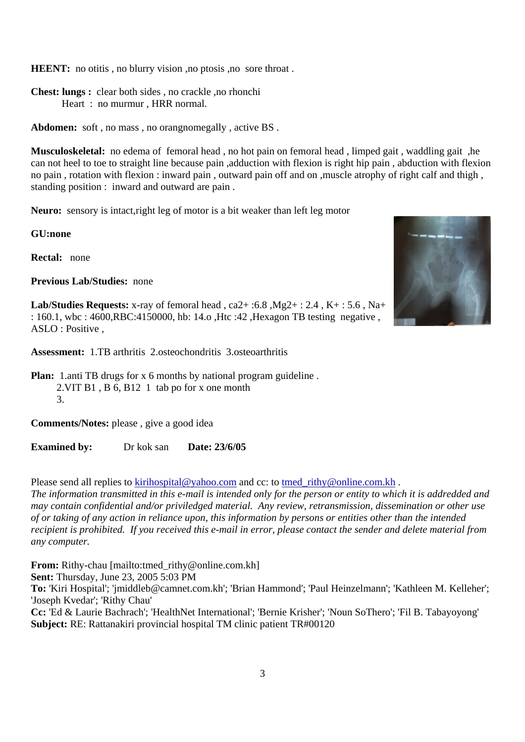**HEENT:** no otitis, no blurry vision, no ptosis, no sore throat.

**Chest: lungs :** clear both sides , no crackle ,no rhonchi Heart : no murmur , HRR normal.

**Abdomen:** soft , no mass , no orangnomegally , active BS .

**Musculoskeletal:** no edema of femoral head , no hot pain on femoral head , limped gait , waddling gait ,he can not heel to toe to straight line because pain ,adduction with flexion is right hip pain , abduction with flexion no pain , rotation with flexion : inward pain , outward pain off and on ,muscle atrophy of right calf and thigh , standing position : inward and outward are pain .

**Neuro:** sensory is intact,right leg of motor is a bit weaker than left leg motor

**GU:none**

**Rectal:** none

**Previous Lab/Studies:** none

**Lab/Studies Requests:** x-ray of femoral head , ca2+ :6.8 ,Mg2+ : 2.4 , K+ : 5.6 , Na+ : 160.1, wbc : 4600,RBC:4150000, hb: 14.o ,Htc :42 ,Hexagon TB testing negative , ASLO : Positive ,

**Assessment:** 1.TB arthritis 2.osteochondritis 3.osteoarthritis

**Plan:** 1.anti TB drugs for x 6 months by national program guideline. 2.VIT B1 , B 6, B12 1 tab po for x one month 3.

**Comments/Notes:** please , give a good idea

**Examined by:** Dr kok san **Date: 23/6/05** 

Please send all replies to kirihospital@yahoo.com and cc: to tmed\_rithy@online.com.kh .

*The information transmitted in this e-mail is intended only for the person or entity to which it is addredded and may contain confidential and/or priviledged material. Any review, retransmission, dissemination or other use of or taking of any action in reliance upon, this information by persons or entities other than the intended recipient is prohibited. If you received this e-mail in error, please contact the sender and delete material from any computer.* 

**From:** Rithy-chau [mailto:tmed\_rithy@online.com.kh] **Sent:** Thursday, June 23, 2005 5:03 PM

**To:** 'Kiri Hospital'; 'jmiddleb@camnet.com.kh'; 'Brian Hammond'; 'Paul Heinzelmann'; 'Kathleen M. Kelleher'; 'Joseph Kvedar'; 'Rithy Chau'

**Cc:** 'Ed & Laurie Bachrach'; 'HealthNet International'; 'Bernie Krisher'; 'Noun SoThero'; 'Fil B. Tabayoyong' **Subject:** RE: Rattanakiri provincial hospital TM clinic patient TR#00120

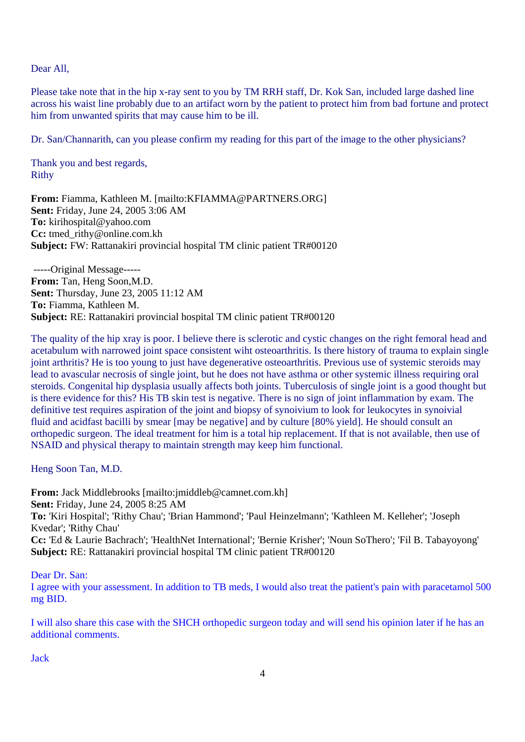Dear All,

Please take note that in the hip x-ray sent to you by TM RRH staff, Dr. Kok San, included large dashed line across his waist line probably due to an artifact worn by the patient to protect him from bad fortune and protect him from unwanted spirits that may cause him to be ill.

Dr. San/Channarith, can you please confirm my reading for this part of the image to the other physicians?

Thank you and best regards, Rithy

**From:** Fiamma, Kathleen M. [mailto:KFIAMMA@PARTNERS.ORG] **Sent:** Friday, June 24, 2005 3:06 AM **To:** kirihospital@yahoo.com **Cc:** tmed\_rithy@online.com.kh **Subject:** FW: Rattanakiri provincial hospital TM clinic patient TR#00120

 -----Original Message----- **From:** Tan, Heng Soon,M.D. **Sent:** Thursday, June 23, 2005 11:12 AM **To:** Fiamma, Kathleen M. **Subject:** RE: Rattanakiri provincial hospital TM clinic patient TR#00120

The quality of the hip xray is poor. I believe there is sclerotic and cystic changes on the right femoral head and acetabulum with narrowed joint space consistent wiht osteoarthritis. Is there history of trauma to explain single joint arthritis? He is too young to just have degenerative osteoarthritis. Previous use of systemic steroids may lead to avascular necrosis of single joint, but he does not have asthma or other systemic illness requiring oral steroids. Congenital hip dysplasia usually affects both joints. Tuberculosis of single joint is a good thought but is there evidence for this? His TB skin test is negative. There is no sign of joint inflammation by exam. The definitive test requires aspiration of the joint and biopsy of synoivium to look for leukocytes in synoivial fluid and acidfast bacilli by smear [may be negative] and by culture [80% yield]. He should consult an orthopedic surgeon. The ideal treatment for him is a total hip replacement. If that is not available, then use of NSAID and physical therapy to maintain strength may keep him functional.

Heng Soon Tan, M.D.

**From:** Jack Middlebrooks [mailto:jmiddleb@camnet.com.kh] **Sent:** Friday, June 24, 2005 8:25 AM **To:** 'Kiri Hospital'; 'Rithy Chau'; 'Brian Hammond'; 'Paul Heinzelmann'; 'Kathleen M. Kelleher'; 'Joseph Kvedar'; 'Rithy Chau' **Cc:** 'Ed & Laurie Bachrach'; 'HealthNet International'; 'Bernie Krisher'; 'Noun SoThero'; 'Fil B. Tabayoyong' **Subject:** RE: Rattanakiri provincial hospital TM clinic patient TR#00120

Dear Dr. San:

I agree with your assessment. In addition to TB meds, I would also treat the patient's pain with paracetamol 500 mg BID.

I will also share this case with the SHCH orthopedic surgeon today and will send his opinion later if he has an additional comments.

Jack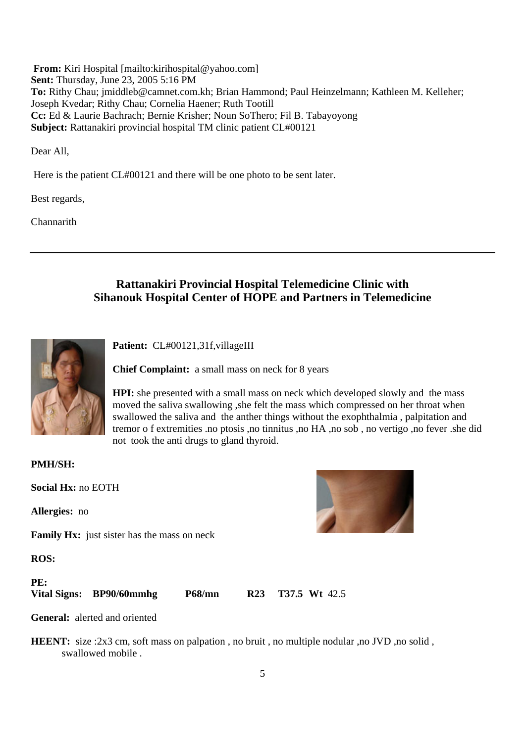**From:** Kiri Hospital [mailto:kirihospital@yahoo.com] **Sent:** Thursday, June 23, 2005 5:16 PM **To:** Rithy Chau; jmiddleb@camnet.com.kh; Brian Hammond; Paul Heinzelmann; Kathleen M. Kelleher; Joseph Kvedar; Rithy Chau; Cornelia Haener; Ruth Tootill **Cc:** Ed & Laurie Bachrach; Bernie Krisher; Noun SoThero; Fil B. Tabayoyong **Subject:** Rattanakiri provincial hospital TM clinic patient CL#00121

Dear All,

Here is the patient CL#00121 and there will be one photo to be sent later.

Best regards,

Channarith

# **Rattanakiri Provincial Hospital Telemedicine Clinic with Sihanouk Hospital Center of HOPE and Partners in Telemedicine**



Patient: CL#00121,31f,villageIII

**Chief Complaint:** a small mass on neck for 8 years

**HPI:** she presented with a small mass on neck which developed slowly and the mass moved the saliva swallowing ,she felt the mass which compressed on her throat when swallowed the saliva and the anther things without the exophthalmia , palpitation and tremor o f extremities .no ptosis ,no tinnitus ,no HA ,no sob , no vertigo ,no fever .she did not took the anti drugs to gland thyroid.

**PMH/SH:**

**Social Hx:** no EOTH

**Allergies:** no

**Family Hx:** just sister has the mass on neck

**ROS:**

**PE:** 

**Vital Signs: BP90/60mmhg P68/mn R23 T37.5 Wt** 42.5

**General:** alerted and oriented

**HEENT:** size :2x3 cm, soft mass on palpation , no bruit , no multiple nodular ,no JVD ,no solid , swallowed mobile .

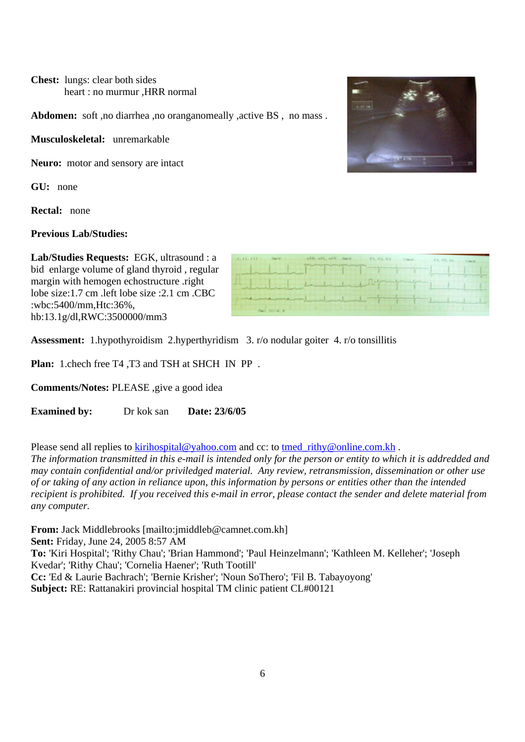**Chest:** lungs: clear both sides heart : no murmur ,HRR normal

Abdomen: soft ,no diarrhea ,no oranganomeally ,active BS, no mass.

**Musculoskeletal:** unremarkable

**Neuro:** motor and sensory are intact

**GU:** none

**Rectal:** none

## **Previous Lab/Studies:**

**Lab/Studies Requests:** EGK, ultrasound : a bid enlarge volume of gland thyroid , regular margin with hemogen echostructure .right lobe size:1.7 cm .left lobe size :2.1 cm .CBC :wbc:5400/mm,Htc:36%, hb:13.1g/dl,RWC:3500000/mm3

| <b>CONTRACTOR</b>                                                                                                                                                                                                              | and the state of the state of the |
|--------------------------------------------------------------------------------------------------------------------------------------------------------------------------------------------------------------------------------|-----------------------------------|
| and the decided of the dealer of the dealer of the dealer of the dealer of the dealer of the dealer of the dealer of the dealer of the dealer of the dealer of the dealer of the dealer of the state of the state of the state |                                   |
| and the second control of the second second second second second second second second second second second second second second second second second second second second second second second second second second second sec |                                   |
| <b>Planets</b> (FILE) Mr., Mr.                                                                                                                                                                                                 |                                   |
|                                                                                                                                                                                                                                |                                   |

**Assessment:** 1.hypothyroidism 2.hyperthyridism 3. r/o nodular goiter 4. r/o tonsillitis

 $1.1111$ 

**Plan:** 1.chech free T4 ,T3 and TSH at SHCH IN PP .

**Comments/Notes:** PLEASE ,give a good idea

**Examined by:** Dr kok san **Date: 23/6/05** 

Please send all replies to kirihospital@yahoo.com and cc: to tmed\_rithy@online.com.kh .

*The information transmitted in this e-mail is intended only for the person or entity to which it is addredded and may contain confidential and/or priviledged material. Any review, retransmission, dissemination or other use of or taking of any action in reliance upon, this information by persons or entities other than the intended recipient is prohibited. If you received this e-mail in error, please contact the sender and delete material from any computer.* 

**From:** Jack Middlebrooks [mailto:jmiddleb@camnet.com.kh] **Sent:** Friday, June 24, 2005 8:57 AM **To:** 'Kiri Hospital'; 'Rithy Chau'; 'Brian Hammond'; 'Paul Heinzelmann'; 'Kathleen M. Kelleher'; 'Joseph Kvedar'; 'Rithy Chau'; 'Cornelia Haener'; 'Ruth Tootill' **Cc:** 'Ed & Laurie Bachrach'; 'Bernie Krisher'; 'Noun SoThero'; 'Fil B. Tabayoyong' **Subject:** RE: Rattanakiri provincial hospital TM clinic patient CL#00121

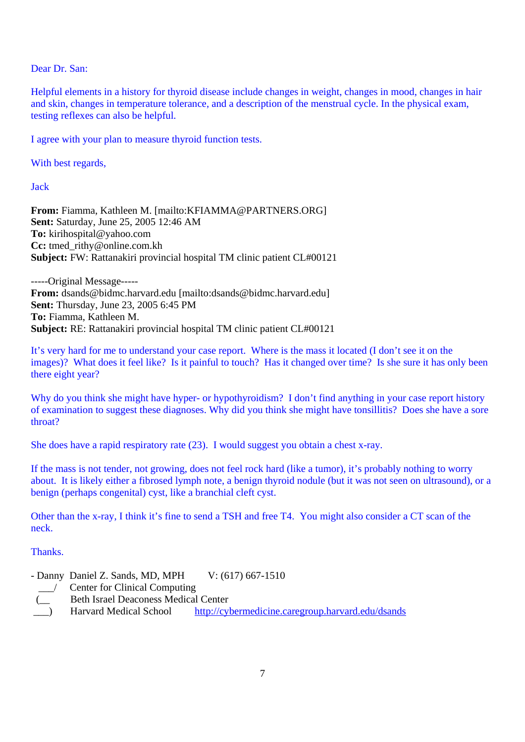Dear Dr. San:

Helpful elements in a history for thyroid disease include changes in weight, changes in mood, changes in hair and skin, changes in temperature tolerance, and a description of the menstrual cycle. In the physical exam, testing reflexes can also be helpful.

I agree with your plan to measure thyroid function tests.

With best regards,

Jack

**From:** Fiamma, Kathleen M. [mailto:KFIAMMA@PARTNERS.ORG] **Sent:** Saturday, June 25, 2005 12:46 AM **To:** kirihospital@yahoo.com **Cc:** tmed\_rithy@online.com.kh **Subject:** FW: Rattanakiri provincial hospital TM clinic patient CL#00121

-----Original Message----- **From:** dsands@bidmc.harvard.edu [mailto:dsands@bidmc.harvard.edu] **Sent:** Thursday, June 23, 2005 6:45 PM **To:** Fiamma, Kathleen M. **Subject:** RE: Rattanakiri provincial hospital TM clinic patient CL#00121

It's very hard for me to understand your case report. Where is the mass it located (I don't see it on the images)? What does it feel like? Is it painful to touch? Has it changed over time? Is she sure it has only been there eight year?

Why do you think she might have hyper- or hypothyroidism? I don't find anything in your case report history of examination to suggest these diagnoses. Why did you think she might have tonsillitis? Does she have a sore throat?

She does have a rapid respiratory rate (23). I would suggest you obtain a chest x-ray.

If the mass is not tender, not growing, does not feel rock hard (like a tumor), it's probably nothing to worry about. It is likely either a fibrosed lymph note, a benign thyroid nodule (but it was not seen on ultrasound), or a benign (perhaps congenital) cyst, like a branchial cleft cyst.

Other than the x-ray, I think it's fine to send a TSH and free T4. You might also consider a CT scan of the neck.

**Thanks** 

- Danny Daniel Z. Sands, MD, MPH V: (617) 667-1510

- \_\_\_/ Center for Clinical Computing
	- Beth Israel Deaconess Medical Center
	- Harvard Medical School http://cybermedicine.caregroup.harvard.edu/dsands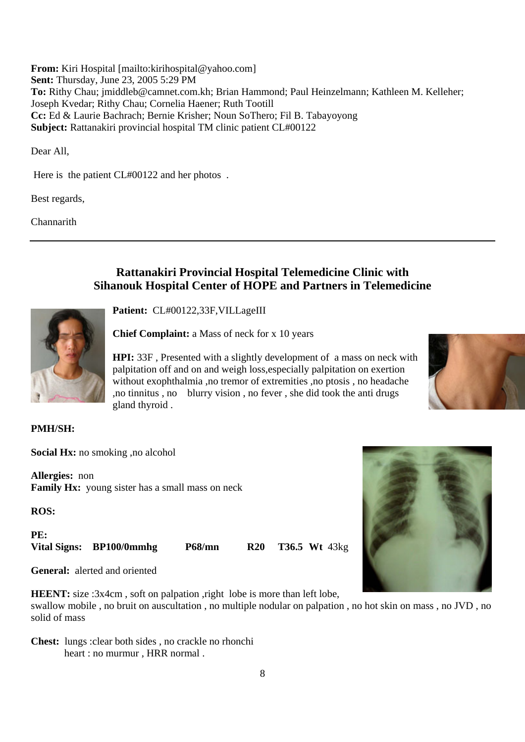**From:** Kiri Hospital [mailto:kirihospital@yahoo.com] **Sent:** Thursday, June 23, 2005 5:29 PM **To:** Rithy Chau; jmiddleb@camnet.com.kh; Brian Hammond; Paul Heinzelmann; Kathleen M. Kelleher; Joseph Kvedar; Rithy Chau; Cornelia Haener; Ruth Tootill **Cc:** Ed & Laurie Bachrach; Bernie Krisher; Noun SoThero; Fil B. Tabayoyong **Subject:** Rattanakiri provincial hospital TM clinic patient CL#00122

Dear All,

Here is the patient CL#00122 and her photos.

Best regards,

Channarith

# **Rattanakiri Provincial Hospital Telemedicine Clinic with Sihanouk Hospital Center of HOPE and Partners in Telemedicine**



**Patient:** CL#00122,33F,VILLageIII

**Chief Complaint:** a Mass of neck for x 10 years

**HPI:** 33F , Presented with a slightly development of a mass on neck with palpitation off and on and weigh loss,especially palpitation on exertion without exophthalmia ,no tremor of extremities ,no ptosis , no headache ,no tinnitus , no blurry vision , no fever , she did took the anti drugs gland thyroid .

# **PMH/SH:**

**Social Hx:** no smoking ,no alcohol

**Allergies:** non **Family Hx:** young sister has a small mass on neck

**ROS:**

**PE: Vital Signs: BP100/0mmhg P68/mn R20 T36.5 Wt** 43kg

**General:** alerted and oriented

**HEENT:** size :3x4cm, soft on palpation, right lobe is more than left lobe,

swallow mobile , no bruit on auscultation , no multiple nodular on palpation , no hot skin on mass , no JVD , no solid of mass

**Chest:** lungs :clear both sides , no crackle no rhonchi heart : no murmur , HRR normal .

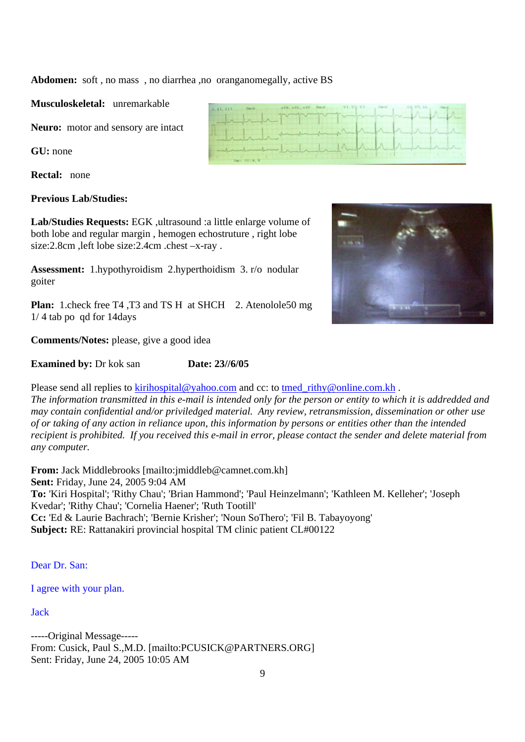**Abdomen:** soft , no mass , no diarrhea ,no oranganomegally, active BS

**Musculoskeletal:** unremarkable

**Neuro:** motor and sensory are intact

**GU:** none

**Rectal:** none

## **Previous Lab/Studies:**

**Lab/Studies Requests:** EGK ,ultrasound :a little enlarge volume of both lobe and regular margin , hemogen echostruture , right lobe size:2.8cm ,left lobe size:2.4cm .chest –x-ray .

**Assessment:** 1.hypothyroidism 2.hyperthoidism 3. r/o nodular goiter

**Plan:** 1.check free T4 ,T3 and TS H at SHCH 2. Atenolole50 mg 1/ 4 tab po qd for 14days

**Comments/Notes:** please, give a good idea

**Examined by:** Dr kok san **Date: 23//6/05** 

Please send all replies to kirihospital@yahoo.com and cc: to tmed\_rithy@online.com.kh.

*The information transmitted in this e-mail is intended only for the person or entity to which it is addredded and may contain confidential and/or priviledged material. Any review, retransmission, dissemination or other use of or taking of any action in reliance upon, this information by persons or entities other than the intended recipient is prohibited. If you received this e-mail in error, please contact the sender and delete material from any computer.* 

**From:** Jack Middlebrooks [mailto:jmiddleb@camnet.com.kh] **Sent:** Friday, June 24, 2005 9:04 AM **To:** 'Kiri Hospital'; 'Rithy Chau'; 'Brian Hammond'; 'Paul Heinzelmann'; 'Kathleen M. Kelleher'; 'Joseph Kvedar'; 'Rithy Chau'; 'Cornelia Haener'; 'Ruth Tootill' **Cc:** 'Ed & Laurie Bachrach'; 'Bernie Krisher'; 'Noun SoThero'; 'Fil B. Tabayoyong' **Subject:** RE: Rattanakiri provincial hospital TM clinic patient CL#00122

Dear Dr. San:

I agree with your plan.

Jack

-----Original Message----- From: Cusick, Paul S.,M.D. [mailto:PCUSICK@PARTNERS.ORG] Sent: Friday, June 24, 2005 10:05 AM



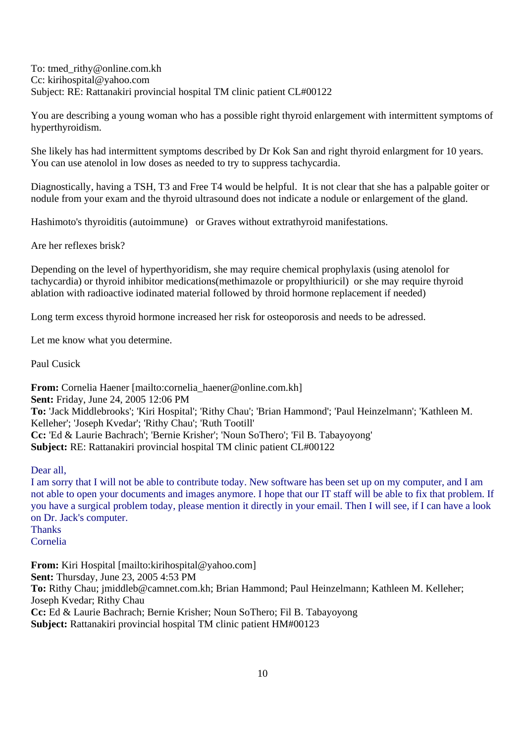To: tmed\_rithy@online.com.kh Cc: kirihospital@yahoo.com Subject: RE: Rattanakiri provincial hospital TM clinic patient CL#00122

You are describing a young woman who has a possible right thyroid enlargement with intermittent symptoms of hyperthyroidism.

She likely has had intermittent symptoms described by Dr Kok San and right thyroid enlargment for 10 years. You can use atenolol in low doses as needed to try to suppress tachycardia.

Diagnostically, having a TSH, T3 and Free T4 would be helpful. It is not clear that she has a palpable goiter or nodule from your exam and the thyroid ultrasound does not indicate a nodule or enlargement of the gland.

Hashimoto's thyroiditis (autoimmune) or Graves without extrathyroid manifestations.

Are her reflexes brisk?

Depending on the level of hyperthyoridism, she may require chemical prophylaxis (using atenolol for tachycardia) or thyroid inhibitor medications(methimazole or propylthiuricil) or she may require thyroid ablation with radioactive iodinated material followed by throid hormone replacement if needed)

Long term excess thyroid hormone increased her risk for osteoporosis and needs to be adressed.

Let me know what you determine.

Paul Cusick

**From:** Cornelia Haener [mailto:cornelia\_haener@online.com.kh] **Sent:** Friday, June 24, 2005 12:06 PM **To:** 'Jack Middlebrooks'; 'Kiri Hospital'; 'Rithy Chau'; 'Brian Hammond'; 'Paul Heinzelmann'; 'Kathleen M. Kelleher'; 'Joseph Kvedar'; 'Rithy Chau'; 'Ruth Tootill' **Cc:** 'Ed & Laurie Bachrach'; 'Bernie Krisher'; 'Noun SoThero'; 'Fil B. Tabayoyong' **Subject:** RE: Rattanakiri provincial hospital TM clinic patient CL#00122

Dear all,

I am sorry that I will not be able to contribute today. New software has been set up on my computer, and I am not able to open your documents and images anymore. I hope that our IT staff will be able to fix that problem. If you have a surgical problem today, please mention it directly in your email. Then I will see, if I can have a look on Dr. Jack's computer. **Thanks** Cornelia

**From:** Kiri Hospital [mailto:kirihospital@yahoo.com] **Sent:** Thursday, June 23, 2005 4:53 PM **To:** Rithy Chau; jmiddleb@camnet.com.kh; Brian Hammond; Paul Heinzelmann; Kathleen M. Kelleher; Joseph Kvedar; Rithy Chau **Cc:** Ed & Laurie Bachrach; Bernie Krisher; Noun SoThero; Fil B. Tabayoyong **Subject:** Rattanakiri provincial hospital TM clinic patient HM#00123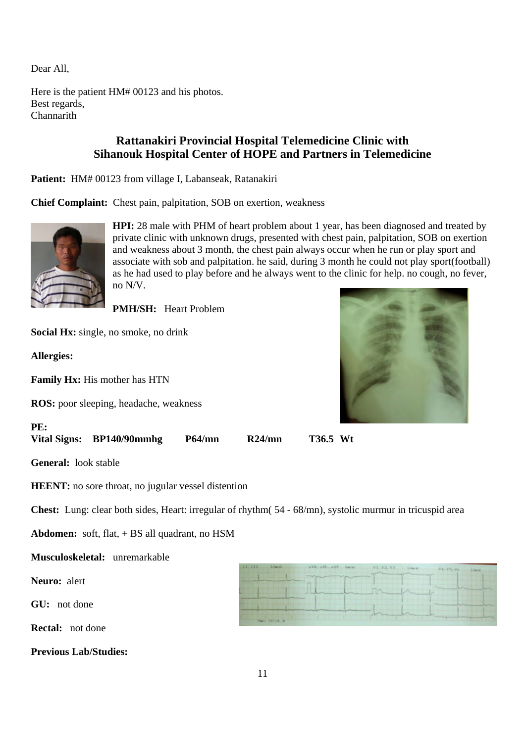Dear All,

Here is the patient HM# 00123 and his photos. Best regards, **Channarith** 

# **Rattanakiri Provincial Hospital Telemedicine Clinic with Sihanouk Hospital Center of HOPE and Partners in Telemedicine**

Patient: HM# 00123 from village I, Labanseak, Ratanakiri

**Chief Complaint:** Chest pain, palpitation, SOB on exertion, weakness



**HPI:** 28 male with PHM of heart problem about 1 year, has been diagnosed and treated by private clinic with unknown drugs, presented with chest pain, palpitation, SOB on exertion and weakness about 3 month, the chest pain always occur when he run or play sport and associate with sob and palpitation. he said, during 3 month he could not play sport(football) as he had used to play before and he always went to the clinic for help. no cough, no fever, no N/V.

**PMH/SH:** Heart Problem

**Social Hx:** single, no smoke, no drink

**Allergies:**

**Family Hx:** His mother has HTN

**ROS:** poor sleeping, headache, weakness



**PE: Vital Signs: BP140/90mmhg P64/mn R24/mn T36.5 Wt**

**General:** look stable

**HEENT:** no sore throat, no jugular vessel distention

**Chest:** Lung: clear both sides, Heart: irregular of rhythm( 54 - 68/mn), systolic murmur in tricuspid area

**Abdomen:** soft, flat, + BS all quadrant, no HSM

#### **Musculoskeletal:** unremarkable

**Neuro:** alert

**GU:** not done

**Rectal:** not done

**Previous Lab/Studies:**

| TETTE Chest aVE AVE AVE Davis VI. V2, V1 Linet V4, V5, V6 Line. |                                           |                           |  |
|-----------------------------------------------------------------|-------------------------------------------|---------------------------|--|
| the property of the local division in the                       | and the property of the local division in |                           |  |
|                                                                 |                                           |                           |  |
|                                                                 |                                           | $\mathbb{R}$ $\mathbb{R}$ |  |
|                                                                 |                                           |                           |  |
|                                                                 |                                           |                           |  |
| Peace Hill city, 20                                             |                                           |                           |  |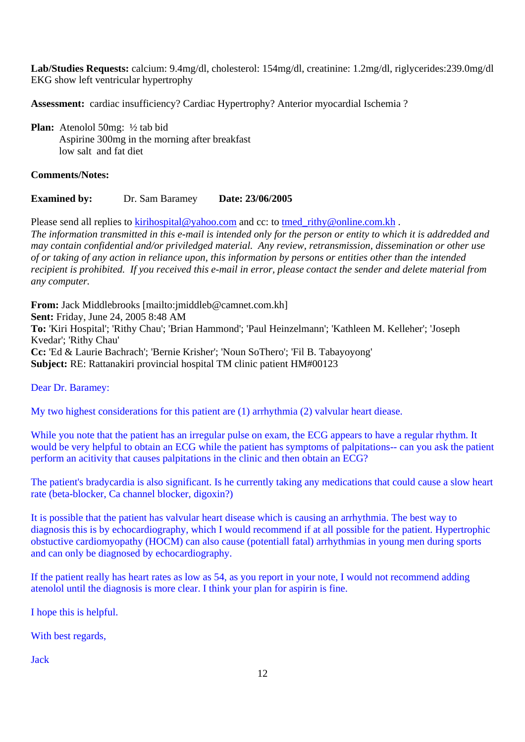**Lab/Studies Requests:** calcium: 9.4mg/dl, cholesterol: 154mg/dl, creatinine: 1.2mg/dl, riglycerides:239.0mg/dl EKG show left ventricular hypertrophy

**Assessment:** cardiac insufficiency? Cardiac Hypertrophy? Anterior myocardial Ischemia ?

**Plan:** Atenolol 50mg: ½ tab bid Aspirine 300mg in the morning after breakfast low salt and fat diet

## **Comments/Notes:**

# **Examined by:** Dr. Sam Baramey **Date: 23/06/2005**

Please send all replies to kirihospital@yahoo.com and cc: to tmed\_rithy@online.com.kh . *The information transmitted in this e-mail is intended only for the person or entity to which it is addredded and may contain confidential and/or priviledged material. Any review, retransmission, dissemination or other use of or taking of any action in reliance upon, this information by persons or entities other than the intended recipient is prohibited. If you received this e-mail in error, please contact the sender and delete material from any computer.* 

**From:** Jack Middlebrooks [mailto:jmiddleb@camnet.com.kh] **Sent:** Friday, June 24, 2005 8:48 AM **To:** 'Kiri Hospital'; 'Rithy Chau'; 'Brian Hammond'; 'Paul Heinzelmann'; 'Kathleen M. Kelleher'; 'Joseph Kvedar'; 'Rithy Chau' **Cc:** 'Ed & Laurie Bachrach'; 'Bernie Krisher'; 'Noun SoThero'; 'Fil B. Tabayoyong' **Subject:** RE: Rattanakiri provincial hospital TM clinic patient HM#00123

Dear Dr. Baramey:

My two highest considerations for this patient are (1) arrhythmia (2) valvular heart diease.

While you note that the patient has an irregular pulse on exam, the ECG appears to have a regular rhythm. It would be very helpful to obtain an ECG while the patient has symptoms of palpitations-- can you ask the patient perform an acitivity that causes palpitations in the clinic and then obtain an ECG?

The patient's bradycardia is also significant. Is he currently taking any medications that could cause a slow heart rate (beta-blocker, Ca channel blocker, digoxin?)

It is possible that the patient has valvular heart disease which is causing an arrhythmia. The best way to diagnosis this is by echocardiography, which I would recommend if at all possible for the patient. Hypertrophic obstuctive cardiomyopathy (HOCM) can also cause (potentiall fatal) arrhythmias in young men during sports and can only be diagnosed by echocardiography.

If the patient really has heart rates as low as 54, as you report in your note, I would not recommend adding atenolol until the diagnosis is more clear. I think your plan for aspirin is fine.

I hope this is helpful.

With best regards,

Jack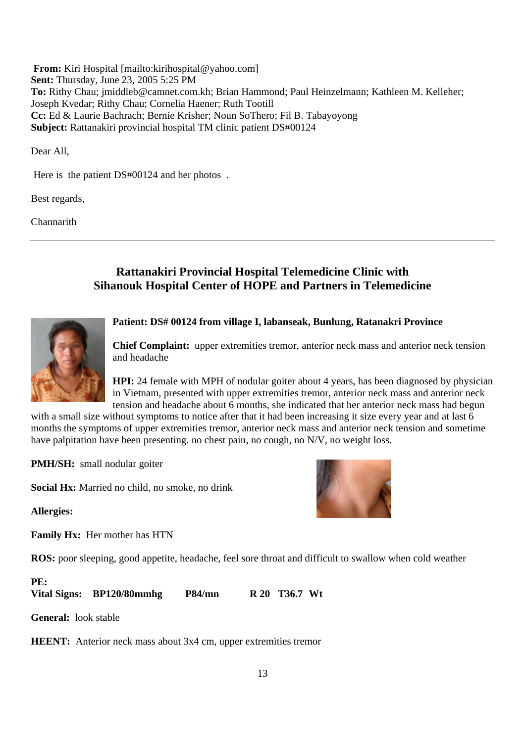**From:** Kiri Hospital [mailto:kirihospital@yahoo.com] **Sent:** Thursday, June 23, 2005 5:25 PM **To:** Rithy Chau; jmiddleb@camnet.com.kh; Brian Hammond; Paul Heinzelmann; Kathleen M. Kelleher; Joseph Kvedar; Rithy Chau; Cornelia Haener; Ruth Tootill **Cc:** Ed & Laurie Bachrach; Bernie Krisher; Noun SoThero; Fil B. Tabayoyong **Subject:** Rattanakiri provincial hospital TM clinic patient DS#00124

Dear All,

Here is the patient DS#00124 and her photos.

Best regards,

Channarith

# **Rattanakiri Provincial Hospital Telemedicine Clinic with Sihanouk Hospital Center of HOPE and Partners in Telemedicine**



#### **Patient: DS# 00124 from village I, labanseak, Bunlung, Ratanakri Province**

**Chief Complaint:** upper extremities tremor, anterior neck mass and anterior neck tension and headache

**HPI:** 24 female with MPH of nodular goiter about 4 years, has been diagnosed by physician in Vietnam, presented with upper extremities tremor, anterior neck mass and anterior neck tension and headache about 6 months, she indicated that her anterior neck mass had begun

with a small size without symptoms to notice after that it had been increasing it size every year and at last 6 months the symptoms of upper extremities tremor, anterior neck mass and anterior neck tension and sometime have palpitation have been presenting. no chest pain, no cough, no N/V, no weight loss.

**PMH/SH:** small nodular goiter

**Social Hx:** Married no child, no smoke, no drink

**Allergies:**

**Family Hx:** Her mother has HTN

**ROS:** poor sleeping, good appetite, headache, feel sore throat and difficult to swallow when cold weather

## **PE:**

**Vital Signs: BP120/80mmhg P84/mn R 20 T36.7 Wt**

**General:** look stable

**HEENT:** Anterior neck mass about 3x4 cm, upper extremities tremor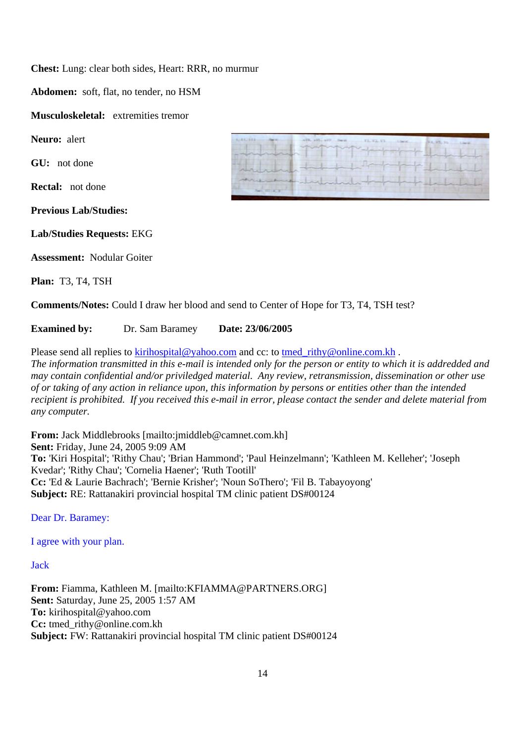**Chest:** Lung: clear both sides, Heart: RRR, no murmur

**Abdomen:** soft, flat, no tender, no HSM

**Musculoskeletal:** extremities tremor

**Neuro:** alert

**GU:** not done

**Rectal:** not done

**Previous Lab/Studies:**

**Lab/Studies Requests:** EKG

**Assessment:** Nodular Goiter

**Plan:** T3, T4, TSH

| 4-44-532<br><b>CONTRACTOR</b><br>which property and was a property of the                                                             |                  |
|---------------------------------------------------------------------------------------------------------------------------------------|------------------|
| - and and and standard                                                                                                                | marine           |
| Anticher                                                                                                                              | about the formal |
| and the state of the state of the state of the state of the state of the state of the state of the state of the<br>Terry Hill (A), 31 |                  |

**Comments/Notes:** Could I draw her blood and send to Center of Hope for T3, T4, TSH test?

**Examined by:** Dr. Sam Baramey **Date: 23/06/2005**

Please send all replies to kirihospital@yahoo.com and cc: to tmed\_rithy@online.com.kh .

*The information transmitted in this e-mail is intended only for the person or entity to which it is addredded and may contain confidential and/or priviledged material. Any review, retransmission, dissemination or other use of or taking of any action in reliance upon, this information by persons or entities other than the intended recipient is prohibited. If you received this e-mail in error, please contact the sender and delete material from any computer.* 

**From:** Jack Middlebrooks [mailto:jmiddleb@camnet.com.kh] **Sent:** Friday, June 24, 2005 9:09 AM **To:** 'Kiri Hospital'; 'Rithy Chau'; 'Brian Hammond'; 'Paul Heinzelmann'; 'Kathleen M. Kelleher'; 'Joseph Kvedar'; 'Rithy Chau'; 'Cornelia Haener'; 'Ruth Tootill' **Cc:** 'Ed & Laurie Bachrach'; 'Bernie Krisher'; 'Noun SoThero'; 'Fil B. Tabayoyong' **Subject:** RE: Rattanakiri provincial hospital TM clinic patient DS#00124

Dear Dr. Baramey:

I agree with your plan.

Jack

**From:** Fiamma, Kathleen M. [mailto:KFIAMMA@PARTNERS.ORG] **Sent:** Saturday, June 25, 2005 1:57 AM **To:** kirihospital@yahoo.com **Cc:** tmed\_rithy@online.com.kh **Subject:** FW: Rattanakiri provincial hospital TM clinic patient DS#00124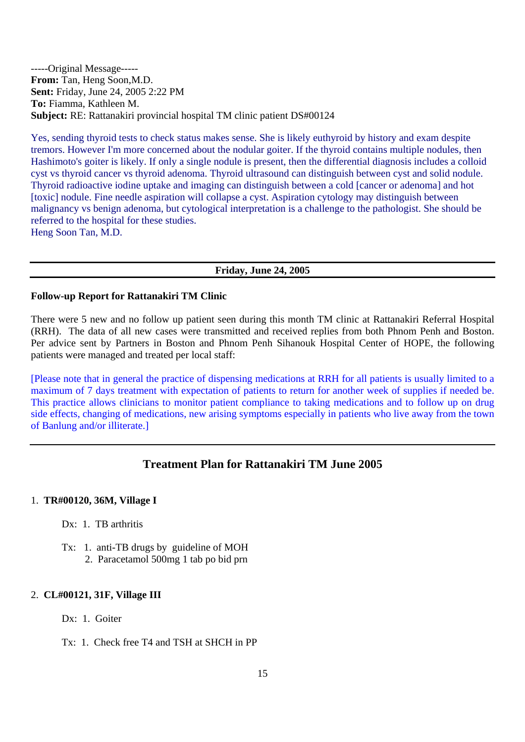-----Original Message----- **From:** Tan, Heng Soon,M.D. **Sent:** Friday, June 24, 2005 2:22 PM **To:** Fiamma, Kathleen M. **Subject:** RE: Rattanakiri provincial hospital TM clinic patient DS#00124

Yes, sending thyroid tests to check status makes sense. She is likely euthyroid by history and exam despite tremors. However I'm more concerned about the nodular goiter. If the thyroid contains multiple nodules, then Hashimoto's goiter is likely. If only a single nodule is present, then the differential diagnosis includes a colloid cyst vs thyroid cancer vs thyroid adenoma. Thyroid ultrasound can distinguish between cyst and solid nodule. Thyroid radioactive iodine uptake and imaging can distinguish between a cold [cancer or adenoma] and hot [toxic] nodule. Fine needle aspiration will collapse a cyst. Aspiration cytology may distinguish between malignancy vs benign adenoma, but cytological interpretation is a challenge to the pathologist. She should be referred to the hospital for these studies.

Heng Soon Tan, M.D.

#### **Friday, June 24, 2005**

#### **Follow-up Report for Rattanakiri TM Clinic**

There were 5 new and no follow up patient seen during this month TM clinic at Rattanakiri Referral Hospital (RRH). The data of all new cases were transmitted and received replies from both Phnom Penh and Boston. Per advice sent by Partners in Boston and Phnom Penh Sihanouk Hospital Center of HOPE, the following patients were managed and treated per local staff:

[Please note that in general the practice of dispensing medications at RRH for all patients is usually limited to a maximum of 7 days treatment with expectation of patients to return for another week of supplies if needed be. This practice allows clinicians to monitor patient compliance to taking medications and to follow up on drug side effects, changing of medications, new arising symptoms especially in patients who live away from the town of Banlung and/or illiterate.]

# **Treatment Plan for Rattanakiri TM June 2005**

#### 1. **TR#00120, 36M, Village I**

- Dx: 1. TB arthritis
- Tx: 1. anti-TB drugs by guideline of MOH 2. Paracetamol 500mg 1 tab po bid prn

#### 2. **CL#00121, 31F, Village III**

Dx: 1. Goiter

Tx: 1. Check free T4 and TSH at SHCH in PP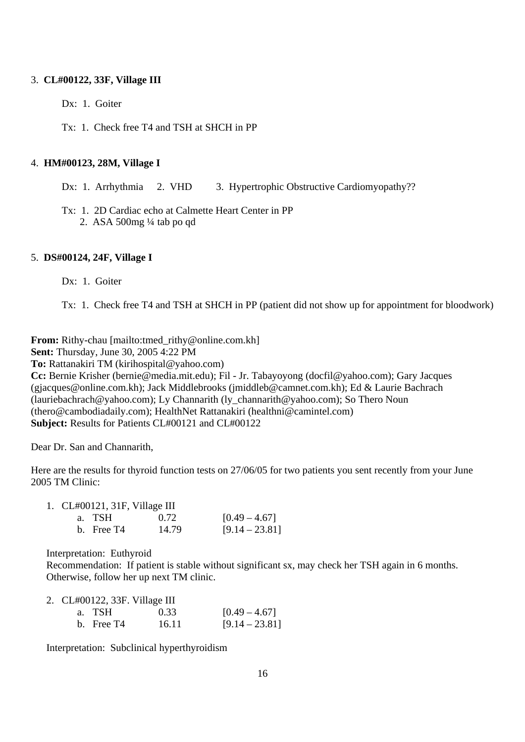#### 3. **CL#00122, 33F, Village III**

Dx: 1. Goiter

Tx: 1. Check free T4 and TSH at SHCH in PP

#### 4. **HM#00123, 28M, Village I**

Dx: 1. Arrhythmia 2. VHD 3. Hypertrophic Obstructive Cardiomyopathy??

Tx: 1. 2D Cardiac echo at Calmette Heart Center in PP 2. ASA 500mg ¼ tab po qd

#### 5. **DS#00124, 24F, Village I**

Dx: 1. Goiter

Tx: 1. Check free T4 and TSH at SHCH in PP (patient did not show up for appointment for bloodwork)

**From:** Rithy-chau [mailto:tmed\_rithy@online.com.kh]

**Sent:** Thursday, June 30, 2005 4:22 PM

**To:** Rattanakiri TM (kirihospital@yahoo.com)

**Cc:** Bernie Krisher (bernie@media.mit.edu); Fil - Jr. Tabayoyong (docfil@yahoo.com); Gary Jacques (gjacques@online.com.kh); Jack Middlebrooks (jmiddleb@camnet.com.kh); Ed & Laurie Bachrach (lauriebachrach@yahoo.com); Ly Channarith (ly\_channarith@yahoo.com); So Thero Noun (thero@cambodiadaily.com); HealthNet Rattanakiri (healthni@camintel.com) **Subject:** Results for Patients CL#00121 and CL#00122

Dear Dr. San and Channarith,

Here are the results for thyroid function tests on 27/06/05 for two patients you sent recently from your June 2005 TM Clinic:

| 1. $CL#00121$ , 31F, Village III |              |       |                  |
|----------------------------------|--------------|-------|------------------|
|                                  | a. TSH       | 0.72  | $[0.49 - 4.67]$  |
|                                  | $h.$ Free T4 | 14.79 | $[9.14 - 23.81]$ |

Interpretation: Euthyroid

Recommendation: If patient is stable without significant sx, may check her TSH again in 6 months. Otherwise, follow her up next TM clinic.

|  |              | 2. CL#00122, 33F. Village III |                  |
|--|--------------|-------------------------------|------------------|
|  | a. TSH       | 0.33                          | $[0.49 - 4.67]$  |
|  | b. Free $T4$ | 16.11                         | $[9.14 - 23.81]$ |

Interpretation: Subclinical hyperthyroidism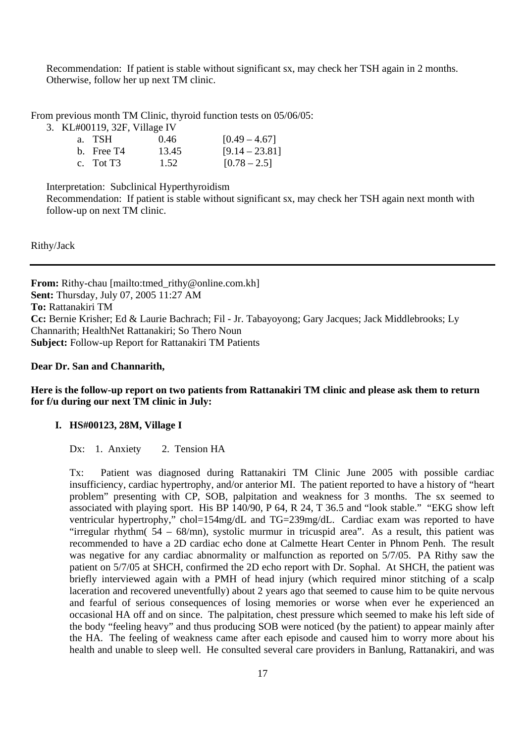Recommendation: If patient is stable without significant sx, may check her TSH again in 2 months. Otherwise, follow her up next TM clinic.

From previous month TM Clinic, thyroid function tests on 05/06/05:

3. KL#00119, 32F, Village IV

| a. TSH       | 0.46  | $[0.49 - 4.67]$  |
|--------------|-------|------------------|
| b. Free $T4$ | 13.45 | $[9.14 - 23.81]$ |
| c. Tot $T3$  | 1.52  | $[0.78 - 2.5]$   |

Interpretation: Subclinical Hyperthyroidism

Recommendation: If patient is stable without significant sx, may check her TSH again next month with follow-up on next TM clinic.

Rithy/Jack

**From:** Rithy-chau [mailto:tmed\_rithy@online.com.kh] **Sent:** Thursday, July 07, 2005 11:27 AM **To:** Rattanakiri TM **Cc:** Bernie Krisher; Ed & Laurie Bachrach; Fil - Jr. Tabayoyong; Gary Jacques; Jack Middlebrooks; Ly Channarith; HealthNet Rattanakiri; So Thero Noun **Subject:** Follow-up Report for Rattanakiri TM Patients

#### **Dear Dr. San and Channarith,**

#### **Here is the follow-up report on two patients from Rattanakiri TM clinic and please ask them to return for f/u during our next TM clinic in July:**

#### **I. HS#00123, 28M, Village I**

Dx: 1. Anxiety 2. Tension HA

Tx: Patient was diagnosed during Rattanakiri TM Clinic June 2005 with possible cardiac insufficiency, cardiac hypertrophy, and/or anterior MI. The patient reported to have a history of "heart problem" presenting with CP, SOB, palpitation and weakness for 3 months. The sx seemed to associated with playing sport. His BP 140/90, P 64, R 24, T 36.5 and "look stable." "EKG show left ventricular hypertrophy," chol=154mg/dL and TG=239mg/dL. Cardiac exam was reported to have "irregular rhythm( 54 – 68/mn), systolic murmur in tricuspid area". As a result, this patient was recommended to have a 2D cardiac echo done at Calmette Heart Center in Phnom Penh. The result was negative for any cardiac abnormality or malfunction as reported on 5/7/05. PA Rithy saw the patient on 5/7/05 at SHCH, confirmed the 2D echo report with Dr. Sophal. At SHCH, the patient was briefly interviewed again with a PMH of head injury (which required minor stitching of a scalp laceration and recovered uneventfully) about 2 years ago that seemed to cause him to be quite nervous and fearful of serious consequences of losing memories or worse when ever he experienced an occasional HA off and on since. The palpitation, chest pressure which seemed to make his left side of the body "feeling heavy" and thus producing SOB were noticed (by the patient) to appear mainly after the HA. The feeling of weakness came after each episode and caused him to worry more about his health and unable to sleep well. He consulted several care providers in Banlung, Rattanakiri, and was